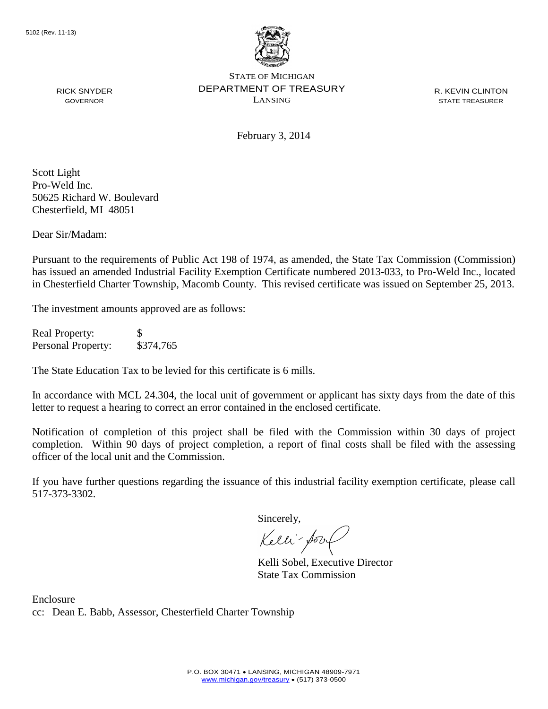

STATE OF MICHIGAN DEPARTMENT OF TREASURY LANSING

R. KEVIN CLINTON STATE TREASURER

RICK SNYDER GOVERNOR

February 3, 2014

Scott Light Pro-Weld Inc. 50625 Richard W. Boulevard Chesterfield, MI 48051

Dear Sir/Madam:

Pursuant to the requirements of Public Act 198 of 1974, as amended, the State Tax Commission (Commission) has issued an amended Industrial Facility Exemption Certificate numbered 2013-033, to Pro-Weld Inc., located in Chesterfield Charter Township, Macomb County. This revised certificate was issued on September 25, 2013.

The investment amounts approved are as follows:

Real Property: \$ Personal Property: \$374,765

The State Education Tax to be levied for this certificate is 6 mills.

In accordance with MCL 24.304, the local unit of government or applicant has sixty days from the date of this letter to request a hearing to correct an error contained in the enclosed certificate.

Notification of completion of this project shall be filed with the Commission within 30 days of project completion. Within 90 days of project completion, a report of final costs shall be filed with the assessing officer of the local unit and the Commission.

If you have further questions regarding the issuance of this industrial facility exemption certificate, please call 517-373-3302.

Sincerely,

Kelli-Sor

Kelli Sobel, Executive Director State Tax Commission

Enclosure cc: Dean E. Babb, Assessor, Chesterfield Charter Township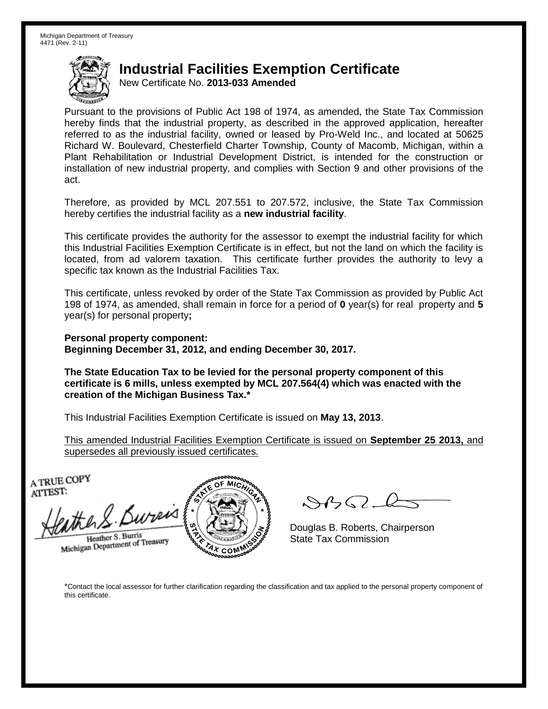## **Industrial Facilities Exemption Certificate**

New Certificate No. **2013-033 Amended**

Pursuant to the provisions of Public Act 198 of 1974, as amended, the State Tax Commission hereby finds that the industrial property, as described in the approved application, hereafter referred to as the industrial facility, owned or leased by Pro-Weld Inc., and located at 50625 Richard W. Boulevard, Chesterfield Charter Township, County of Macomb, Michigan, within a Plant Rehabilitation or Industrial Development District, is intended for the construction or installation of new industrial property, and complies with Section 9 and other provisions of the act.

Therefore, as provided by MCL 207.551 to 207.572, inclusive, the State Tax Commission hereby certifies the industrial facility as a **new industrial facility**.

This certificate provides the authority for the assessor to exempt the industrial facility for which this Industrial Facilities Exemption Certificate is in effect, but not the land on which the facility is located, from ad valorem taxation. This certificate further provides the authority to levy a specific tax known as the Industrial Facilities Tax.

This certificate, unless revoked by order of the State Tax Commission as provided by Public Act 198 of 1974, as amended, shall remain in force for a period of **0** year(s) for real property and **5** year(s) for personal property**;**

**Personal property component: Beginning December 31, 2012, and ending December 30, 2017.**

**The State Education Tax to be levied for the personal property component of this certificate is 6 mills, unless exempted by MCL 207.564(4) which was enacted with the creation of the Michigan Business Tax.\***

This Industrial Facilities Exemption Certificate is issued on **May 13, 2013**.

This amended Industrial Facilities Exemption Certificate is issued on **September 25 2013,** and supersedes all previously issued certificates.

A TRUE COPY ATTEST:

the S. Bureis Heather S. Burris

Heather S. Burns<br>Michigan Department of Treasury



 $882L$ 

Douglas B. Roberts, Chairperson State Tax Commission

\*Contact the local assessor for further clarification regarding the classification and tax applied to the personal property component of this certificate.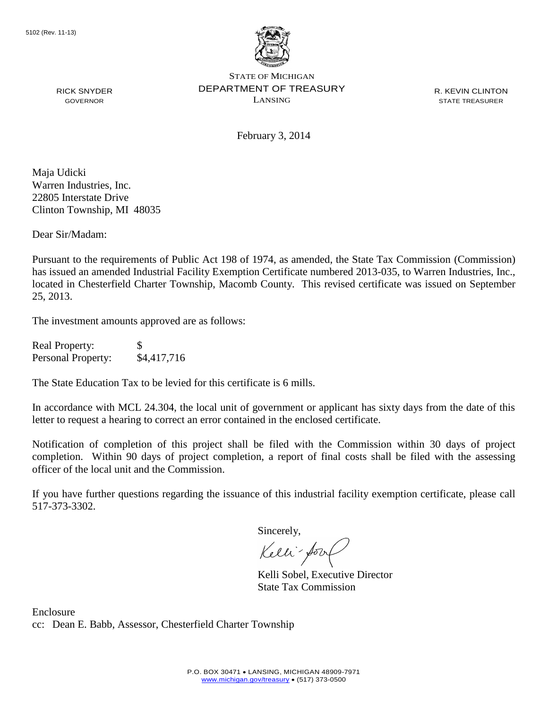

STATE OF MICHIGAN DEPARTMENT OF TREASURY LANSING

R. KEVIN CLINTON STATE TREASURER

February 3, 2014

Maja Udicki Warren Industries, Inc. 22805 Interstate Drive Clinton Township, MI 48035

RICK SNYDER GOVERNOR

Dear Sir/Madam:

Pursuant to the requirements of Public Act 198 of 1974, as amended, the State Tax Commission (Commission) has issued an amended Industrial Facility Exemption Certificate numbered 2013-035, to Warren Industries, Inc., located in Chesterfield Charter Township, Macomb County. This revised certificate was issued on September 25, 2013.

The investment amounts approved are as follows:

| <b>Real Property:</b> | \$.         |
|-----------------------|-------------|
| Personal Property:    | \$4,417,716 |

The State Education Tax to be levied for this certificate is 6 mills.

In accordance with MCL 24.304, the local unit of government or applicant has sixty days from the date of this letter to request a hearing to correct an error contained in the enclosed certificate.

Notification of completion of this project shall be filed with the Commission within 30 days of project completion. Within 90 days of project completion, a report of final costs shall be filed with the assessing officer of the local unit and the Commission.

If you have further questions regarding the issuance of this industrial facility exemption certificate, please call 517-373-3302.

Sincerely,

Kelli-Sort

Kelli Sobel, Executive Director State Tax Commission

Enclosure cc: Dean E. Babb, Assessor, Chesterfield Charter Township